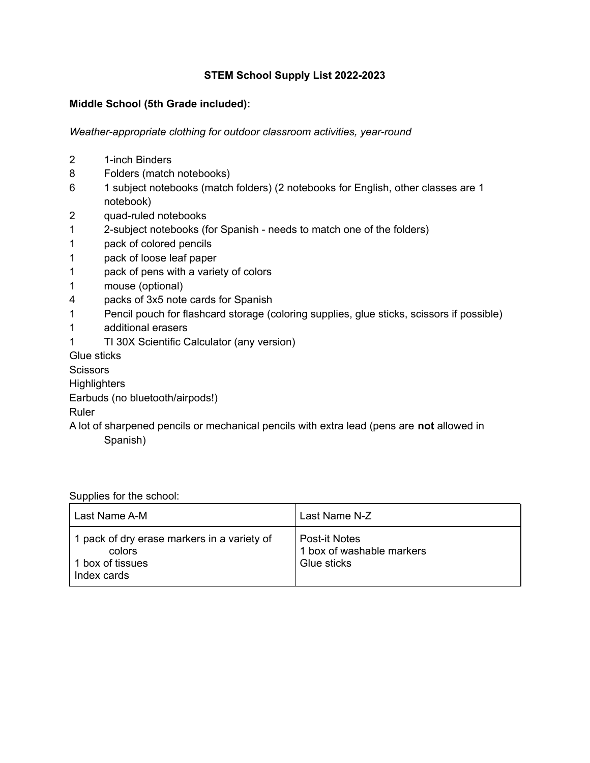## **STEM School Supply List 2022-2023**

## **Middle School (5th Grade included):**

*Weather-appropriate clothing for outdoor classroom activities, year-round*

- 2 1-inch Binders
- 8 Folders (match notebooks)
- 6 1 subject notebooks (match folders) (2 notebooks for English, other classes are 1 notebook)
- 2 quad-ruled notebooks
- 1 2-subject notebooks (for Spanish needs to match one of the folders)
- 1 pack of colored pencils
- 1 pack of loose leaf paper
- 1 pack of pens with a variety of colors
- 1 mouse (optional)
- 4 packs of 3x5 note cards for Spanish
- 1 Pencil pouch for flashcard storage (coloring supplies, glue sticks, scissors if possible)
- 1 additional erasers
- 1 TI 30X Scientific Calculator (any version)

Glue sticks

**Scissors** 

**Highlighters** 

Earbuds (no bluetooth/airpods!)

Ruler

A lot of sharpened pencils or mechanical pencils with extra lead (pens are **not** allowed in Spanish)

Supplies for the school:

| Last Name A-M                                                                            | Last Name N-Z                                                    |
|------------------------------------------------------------------------------------------|------------------------------------------------------------------|
| 1 pack of dry erase markers in a variety of<br>colors<br>1 box of tissues<br>Index cards | <b>Post-it Notes</b><br>1 box of washable markers<br>Glue sticks |